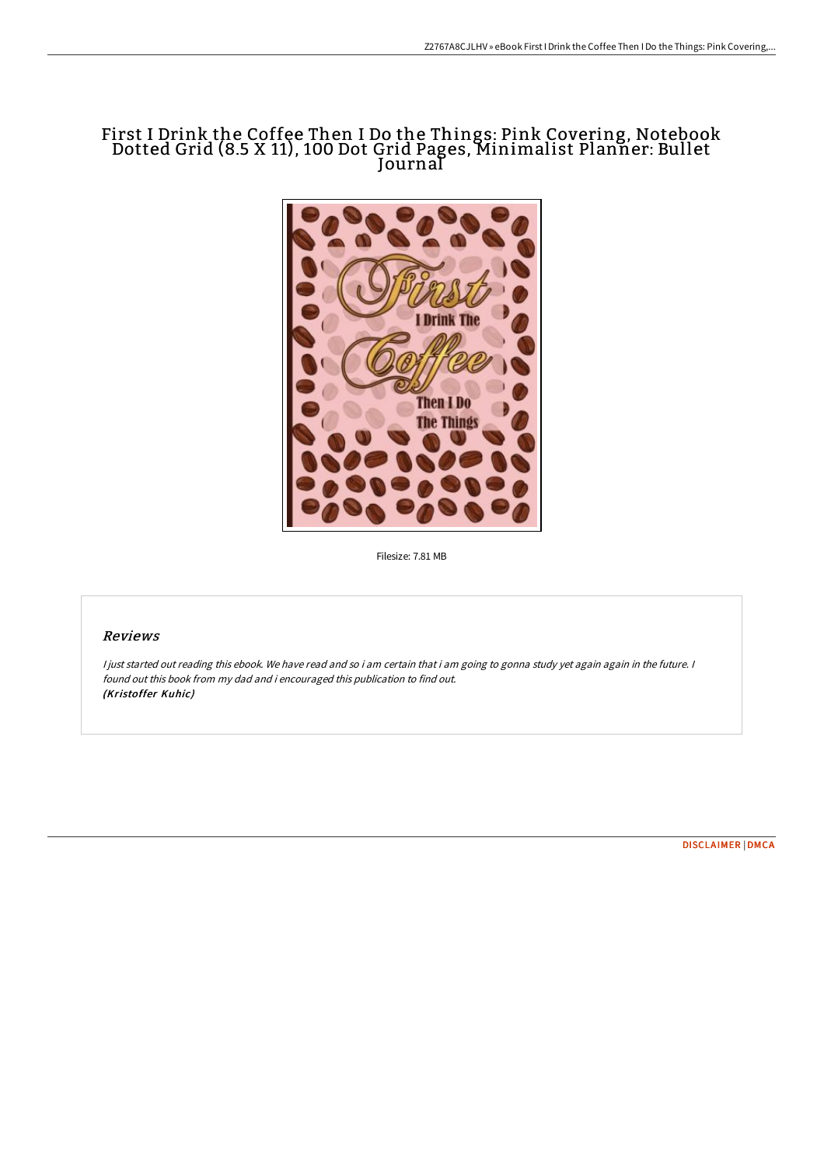# First I Drink the Coffee Then I Do the Things: Pink Covering, Notebook Dotted Grid (8.5 X 11), 100 Dot Grid Pages, Minimalist Planner: Bullet Journal



Filesize: 7.81 MB

## Reviews

I just started out reading this ebook. We have read and so i am certain that i am going to gonna study yet again again in the future. I found out this book from my dad and i encouraged this publication to find out. (Kristoffer Kuhic)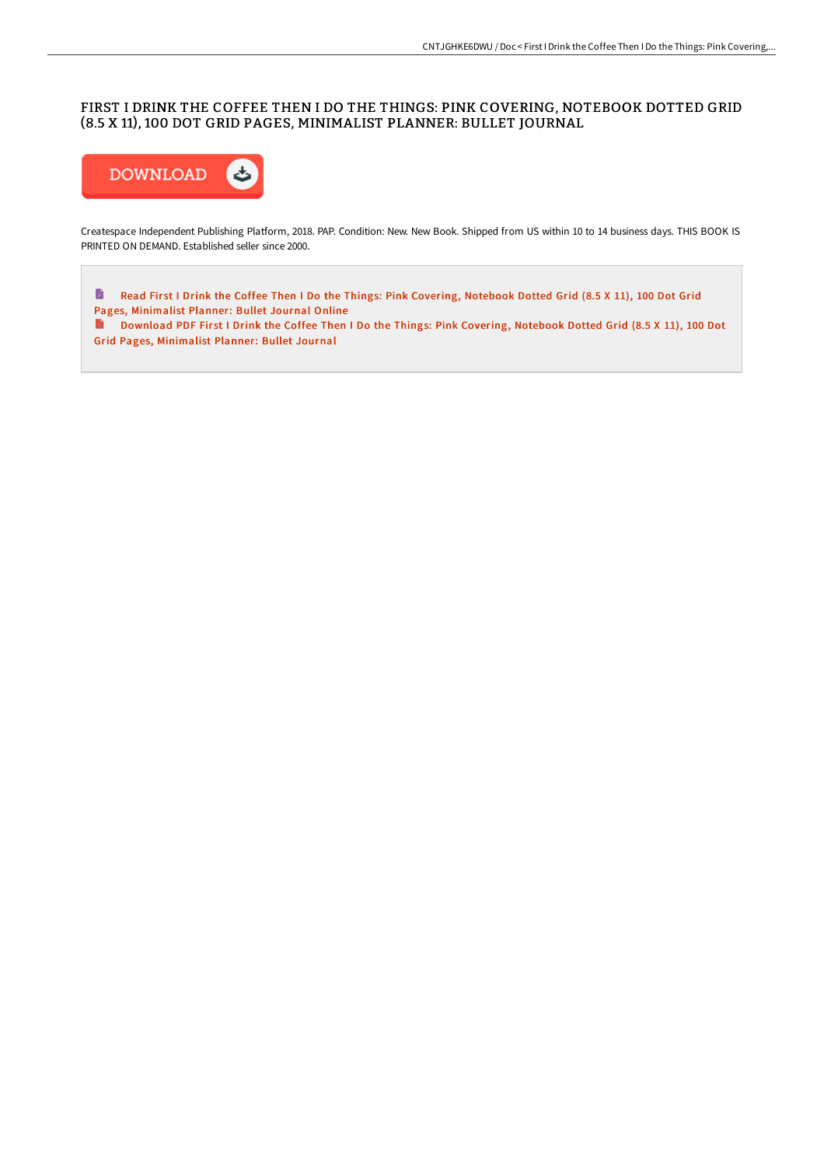## FIRST I DRINK THE COFFEE THEN I DO THE THINGS: PINK COVERING, NOTEBOOK DOTTED GRID (8.5 X 11), 100 DOT GRID PAGES, MINIMALIST PLANNER: BULLET JOURNAL



Createspace Independent Publishing Platform, 2018. PAP. Condition: New. New Book. Shipped from US within 10 to 14 business days. THIS BOOK IS PRINTED ON DEMAND. Established seller since 2000.

 $\blacksquare$ Read First I Drink the Coffee Then I Do the Things: Pink Covering, Notebook Dotted Grid (8.5 X 11), 100 Dot Grid Pages, [Minimalist](http://bookera.tech/first-i-drink-the-coffee-then-i-do-the-things-pi.html) Planner: Bullet Journal Online

[Download](http://bookera.tech/first-i-drink-the-coffee-then-i-do-the-things-pi.html) PDF First I Drink the Coffee Then I Do the Things: Pink Covering, Notebook Dotted Grid (8.5 X 11), 100 Dot Grid Pages, Minimalist Planner: Bullet Journal